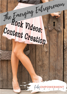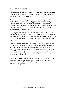### Day 2 – CONTENT CREATION

Strategic content is the key. There's no point creating content off the bat every time – when you plan ahead you save heaps of time and energy AND your content all gels together.

Remember that this is a long-term game you're playing – and if you're in it for the short-term gains then frankly you're in the wrong industry! Consistency over the long-term is what is going to bring you huge business results and help you change thousands of lives. Add huge value and you'll be rewarded, it's the Universal Law of Reciprocity…and Universal Laws can't be broken!

We always liken business in this sense to a relationship – if you were dating someone and they suddenly disappeared for days on end, would you trust them more or less? Your audience is getting to know you at this stage – so consistency is a great way to build trust and let them get to know you.

Plan your content in advance and execute on it reliably – you'll build a phenomenal reputation and a queue of people who are eager to work with you. Remember, what you'll be sharing in your videos is your expertise – you might doubt this from time to time and that's completely normal, but it's also important that you show up despite any doubts and just keep sharing. What you know is incredibly valuable and people are waiting for that knowledge!

Start creating a list on your phone or computer of ideas – add to it every time you have a brainwave so when you're planning your month's content, you already have hot topics ready and waiting – saving time, effort and brain power!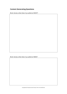# **Content Generating Questions**

Brain dump: what does my audience WANT?

Brain dump: what does my audience NEED?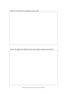| What do I know that my audience doesn't yet? |  |
|----------------------------------------------|--|
|----------------------------------------------|--|

How is my approach different from what they've experienced before?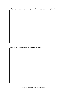What are my audiences' challenges & pain points on a day-to-day basis?

What is my audiences' deepest desire long term?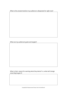What is the answer/solution my audience is desperate for right now?

What are my audiences' goals and targets?

What is their *reason* for wanting what they desire? i.e. what will change once they've got it?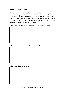## **Get the "Inside Scoop":**

Find someone who fits the criteria of your ideal client – circumstance-wise and personality-wise. Take them for coffee – find out about their wants, frustrations, and what they're striving towards. The more specific, the better. Take notes and be sure to cover the following questions (you can fill these in in the boxes provided to keep all your niche connection work together for quick and easy referencing).

What are the most pressing problems your ideal client is facing?

What is the thing they are most stuck with right now?

What keeps them up at night?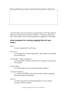What would they pay money to have the solution/answer to right now?

Use all of these notes and answers to create at least 10 hot topic ideas of videos you'd love to share with your followers. To help you perfect the titles, we've added a few structuring options (as suggestions only) below…

## **Great templates for creating engaging titles for your videos:**

 $How L...$ 

i.e. How I Signed My First 50 Clients

From X to Z

i.e. From Burnout To Booming Business - My Insider Tip That Made All The Difference

The Number 1 Thing You Need To…

i.e. The Number 1 Thing You Need To Do To Double Your Business This Quarter

3 Secret Steps…

i.e. 3 Secret Steps To Overcome Any Business Freakout

### 7 Secrets To Help You \_\_\_\_

i.e. 7 Secrets To Help You Attract More Clients Without Spending Any More Money On Marketing

### How To…

i.e. How To Set Up Your Online Marketing So You Can Attract Customers While You Sleep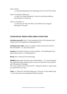Stop X Until Y…

i.e. Stop Spending Money On Marketing Until You Get This In Place

Stop X To Achieve Y Without Z…

i.e. Stop The 'Hustle' Mentality To Grow Your Business Without Sacrificing Your Family Life

Until X, You'll Never Y…

i.e. Until You Do The Inner Work, You'll Never Earn 6-Figures Working For Yourself

## **VLOGS/SOCIAL MEDIA VIDEO SIMPLE STRUCTURE**

**Introduce yourself:** Hey I'm Vicky Murgatroyd from Life Empowerment Project and in this blog we'll be talking about XYZ.

**Introduce your topic:** why your audience need to know this and how they will benefit – i.e. why stick around!

**Content:** main body of what you have to deliver. I find splitting this into pillars often works i.e. 3 Simple Steps To…

**Recap:** this is what we've learned today

**REHASH:** (Remember Everyone Has A Sale Hidden) – i.e. if you've enjoyed this blog/video today, please share it so we can reach even more women with this powerful message!

This is also called a Call To Action (CTA) – telling the viewer or reader what you want them to do next.

**Close:** i.e. Thanks for watching today guys, I'll see you in next week's blog – in the mean time, live empowered and be inspired.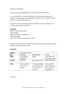#### MONTHLY PLANNER!

Theme your month/weeks/days to help the content ideas flow.

i.e. some months, our blogs might be focused around mindset and common issues people come up against in terms of this, other months it might be around client attraction.

You don't have to announce what your theme is to your audience, it's more for your ease of creation.

#### **Example:**

Week  $1:29^{th}$  January 2018 Day: Monday Type: Live video on Facebook Theme: Mindset Title: "You can't be a victim and a coach"

Split your own table with the number of columns representing how many videos you'd like to do per week.

#### **Example:**

| Week 1: | 29 <sup>th</sup> January 2018 |                  |                      |
|---------|-------------------------------|------------------|----------------------|
| Day:    | Monday                        | Wednesday        | Friday               |
| Type:   | Live video on                 | <b>Blog</b>      | Live video into      |
|         | Facebook                      |                  | Facebook group       |
| Theme:  | Mindset                       | Marketing & tech | Q&A interaction      |
|         |                               |                  |                      |
| Title:  | "You can't be a               | "7 Steps to Make | "Live chat for       |
|         | victim and a                  | Epic Videos Even | Rock Videos For      |
|         | coach"                        | If You're Shit   | <b>Your Business</b> |
|         |                               | Scared"          | Challenge"           |

Your turn…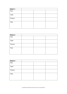| Week 1: |  |  |
|---------|--|--|
| Day:    |  |  |
| Type:   |  |  |
| Theme:  |  |  |
| Title:  |  |  |
|         |  |  |

| Week 2: |  |  |
|---------|--|--|
| Day:    |  |  |
| Type:   |  |  |
| Theme:  |  |  |
| Title:  |  |  |
|         |  |  |

| Week 3: |  |  |
|---------|--|--|
| Day:    |  |  |
| Type:   |  |  |
| Theme:  |  |  |
| Title:  |  |  |
|         |  |  |